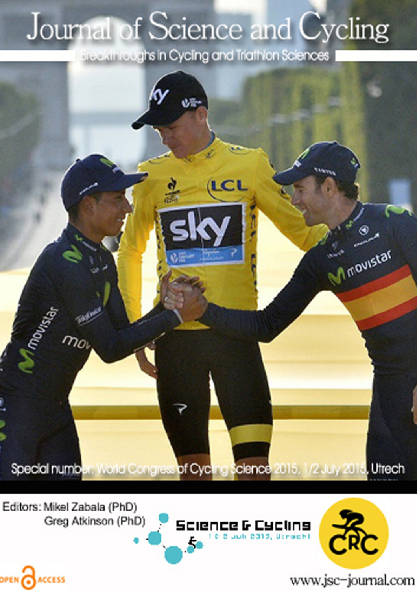# Journal of Science and Cycling

Breakthroughs in Cycling and Triathlon Sciences



Editors: Mikel Zabala (PhD) Greg Atkinson (PhD)

OPEN CACCESS





www.jsc-journal.com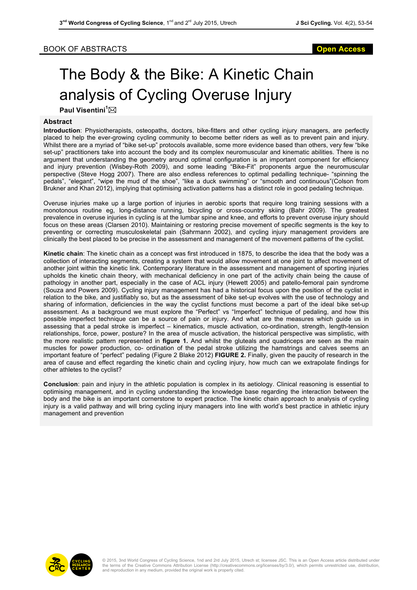## BOOK OF ABSTRACTS **Open Access**

# The Body & the Bike: A Kinetic Chain analysis of Cycling Overuse Injury

**Paul Visentini<sup>1</sup>** \*

### **Abstract**

**Introduction**: Physiotherapists, osteopaths, doctors, bike-fitters and other cycling injury managers, are perfectly placed to help the ever-growing cycling community to become better riders as well as to prevent pain and injury. Whilst there are a myriad of "bike set-up" protocols available, some more evidence based than others, very few "bike set-up" practitioners take into account the body and its complex neuromuscular and kinematic abilities. There is no argument that understanding the geometry around optimal configuration is an important component for efficiency and injury prevention (Wisbey-Roth 2009), and some leading "Bike-Fit" proponents argue the neuromuscular perspective (Steve Hogg 2007). There are also endless references to optimal pedalling technique- "spinning the pedals", "elegant", "wipe the mud of the shoe", "like a duck swimming" or "smooth and continuous"(Colson from Brukner and Khan 2012), implying that optimising activation patterns has a distinct role in good pedaling technique.

Overuse injuries make up a large portion of injuries in aerobic sports that require long training sessions with a monotonous routine eg, long-distance running, bicycling or cross-country skiing (Bahr 2009). The greatest prevalence in overuse injuries in cycling is at the lumbar spine and knee, and efforts to prevent overuse injury should focus on these areas (Clarsen 2010). Maintaining or restoring precise movement of specific segments is the key to preventing or correcting musculoskeletal pain (Sahrmann 2002), and cycling injury management providers are clinically the best placed to be precise in the assessment and management of the movement patterns of the cyclist.

**Kinetic chain**: The kinetic chain as a concept was first introduced in 1875, to describe the idea that the body was a collection of interacting segments, creating a system that would allow movement at one joint to affect movement of another joint within the kinetic link. Contemporary literature in the assessment and management of sporting injuries upholds the kinetic chain theory, with mechanical deficiency in one part of the activity chain being the cause of pathology in another part, especially in the case of ACL injury (Hewett 2005) and patello-femoral pain syndrome (Souza and Powers 2009). Cycling injury management has had a historical focus upon the position of the cyclist in relation to the bike, and justifiably so, but as the assessment of bike set-up evolves with the use of technology and sharing of information, deficiencies in the way the cyclist functions must become a part of the ideal bike set-up assessment. As a background we must explore the "Perfect" vs "Imperfect" technique of pedaling, and how this possible imperfect technique can be a source of pain or injury. And what are the measures which guide us in assessing that a pedal stroke is imperfect – kinematics, muscle activation, co-ordination, strength, length-tension relationships, force, power, posture? In the area of muscle activation, the historical perspective was simplistic, with the more realistic pattern represented in **figure 1.** And whilst the gluteals and quadriceps are seen as the main muscles for power production, co- ordination of the pedal stroke utilizing the hamstrings and calves seems an important feature of "perfect" pedaling (Figure 2 Blake 2012) **FIGURE 2.** Finally, given the paucity of research in the area of cause and effect regarding the kinetic chain and cycling injury, how much can we extrapolate findings for other athletes to the cyclist?

**Conclusion**: pain and injury in the athletic population is complex in its aetiology. Clinical reasoning is essential to optimising management, and in cycling understanding the knowledge base regarding the interaction between the body and the bike is an important cornerstone to expert practice. The kinetic chain approach to analysis of cycling injury is a valid pathway and will bring cycling injury managers into line with world's best practice in athletic injury management and prevention